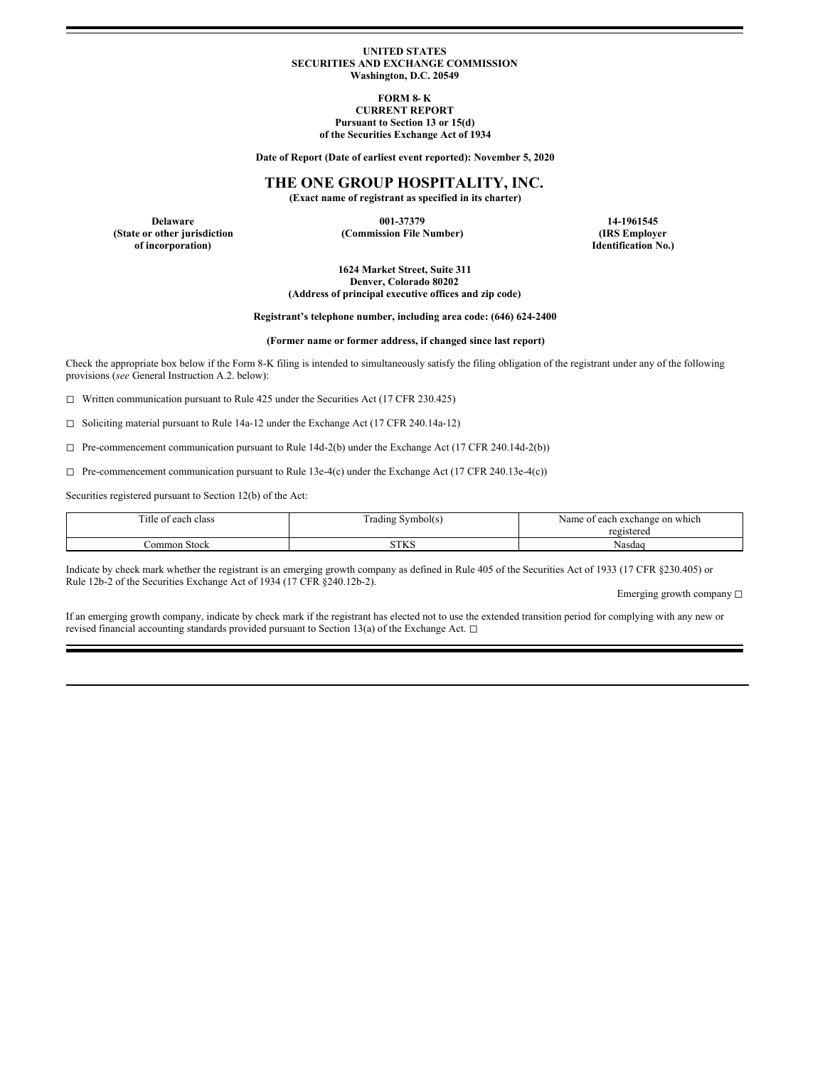## **UNITED STATES SECURITIES AND EXCHANGE COMMISSION Washington, D.C. 20549**

**FORM 8- K CURRENT REPORT Pursuant to Section 13 or 15(d) of the Securities Exchange Act of 1934**

**Date of Report (Date of earliest event reported): November 5, 2020**

# **THE ONE GROUP HOSPITALITY, INC.**

**(Exact name of registrant as specified in its charter)**

**Delaware 001-37379 14-1961545 of incorporation) Identification No.)**

**(State or other jurisdiction (Commission File Number) (IRS Employer**

**1624 Market Street, Suite 311 Denver, Colorado 80202 (Address of principal executive offices and zip code)**

**Registrant's telephone number, including area code: (646) 624-2400**

**(Former name or former address, if changed since last report)**

Check the appropriate box below if the Form 8-K filing is intended to simultaneously satisfy the filing obligation of the registrant under any of the following provisions (*see* General Instruction A.2. below):

◻ Written communication pursuant to Rule 425 under the Securities Act (17 CFR 230.425)

◻ Soliciting material pursuant to Rule 14a-12 under the Exchange Act (17 CFR 240.14a-12)

 $\Box$  Pre-commencement communication pursuant to Rule 14d-2(b) under the Exchange Act (17 CFR 240.14d-2(b))

 $\Box$  Pre-commencement communication pursuant to Rule 13e-4(c) under the Exchange Act (17 CFR 240.13e-4(c))

Securities registered pursuant to Section 12(b) of the Act:

| m.<br>each class<br>itle of | Symbol(s)<br>i rading | Name of each exchange on which |
|-----------------------------|-----------------------|--------------------------------|
|                             |                       | registered                     |
| ∂ommon Stock                | CTTZC<br>31 D.        | Nasdaq                         |

Indicate by check mark whether the registrant is an emerging growth company as defined in Rule 405 of the Securities Act of 1933 (17 CFR §230.405) or Rule 12b-2 of the Securities Exchange Act of 1934 (17 CFR §240.12b-2).

Emerging growth company □

If an emerging growth company, indicate by check mark if the registrant has elected not to use the extended transition period for complying with any new or revised financial accounting standards provided pursuant to Section 13(a) of the Exchange Act. □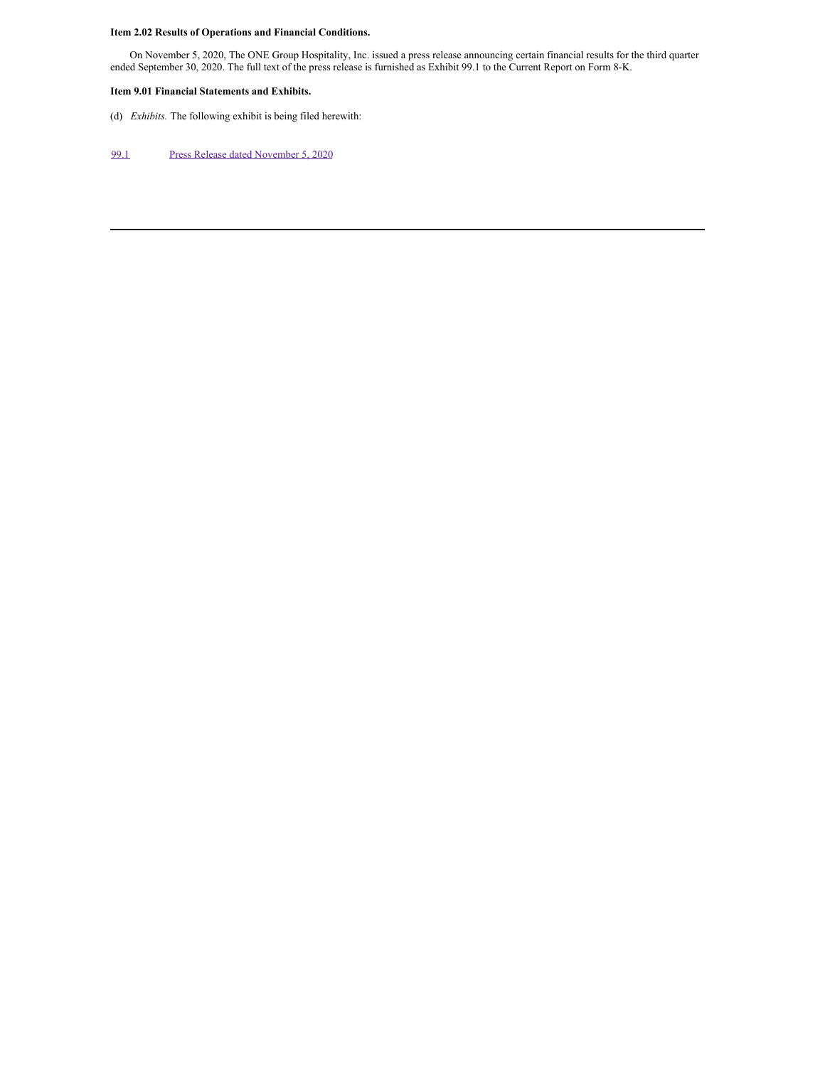# **Item 2.02 Results of Operations and Financial Conditions.**

On November 5, 2020, The ONE Group Hospitality, Inc. issued a press release announcing certain financial results for the third quarter ended September 30, 2020. The full text of the press release is furnished as Exhibit 99.1 to the Current Report on Form 8-K.

## **Item 9.01 Financial Statements and Exhibits.**

(d) *Exhibits.* The following exhibit is being filed herewith:

# [99.1](#page-8-0) Press Release dated [November](#page-8-0) 5, 2020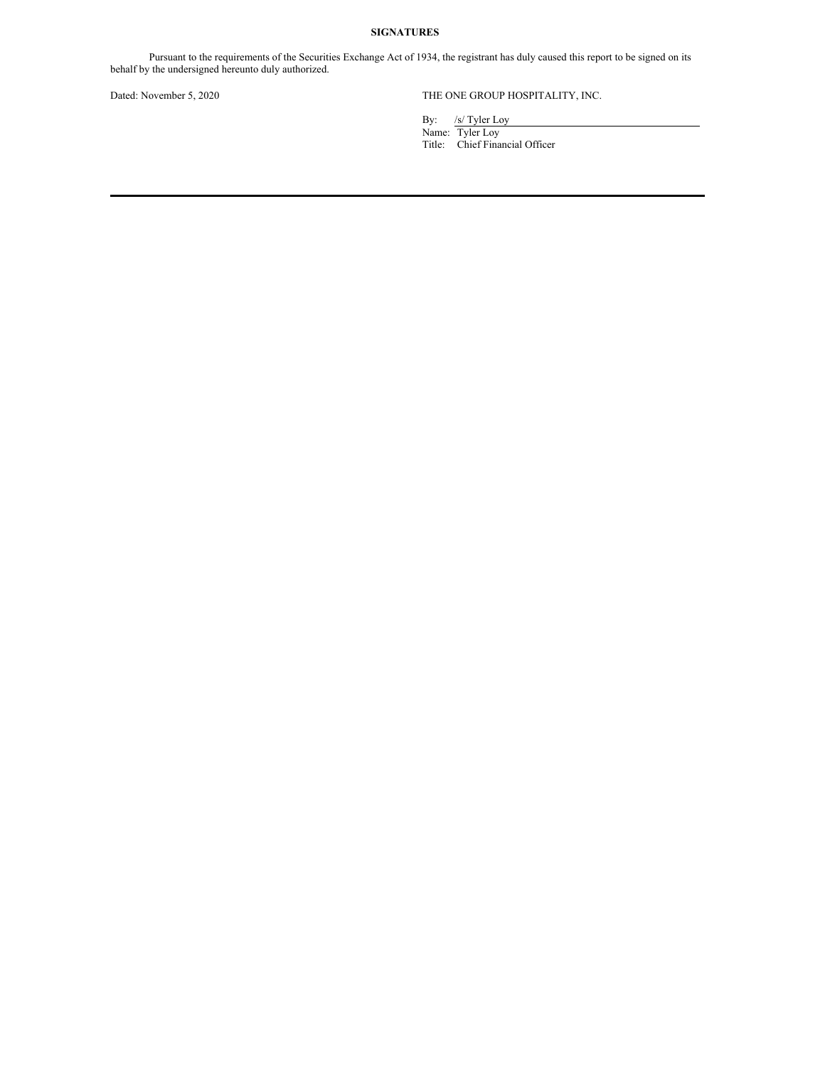## **SIGNATURES**

Pursuant to the requirements of the Securities Exchange Act of 1934, the registrant has duly caused this report to be signed on its behalf by the undersigned hereunto duly authorized.

# Dated: November 5, 2020 THE ONE GROUP HOSPITALITY, INC.

By: /s/ Tyler Loy

Name: Tyler Loy Title: Chief Financial Officer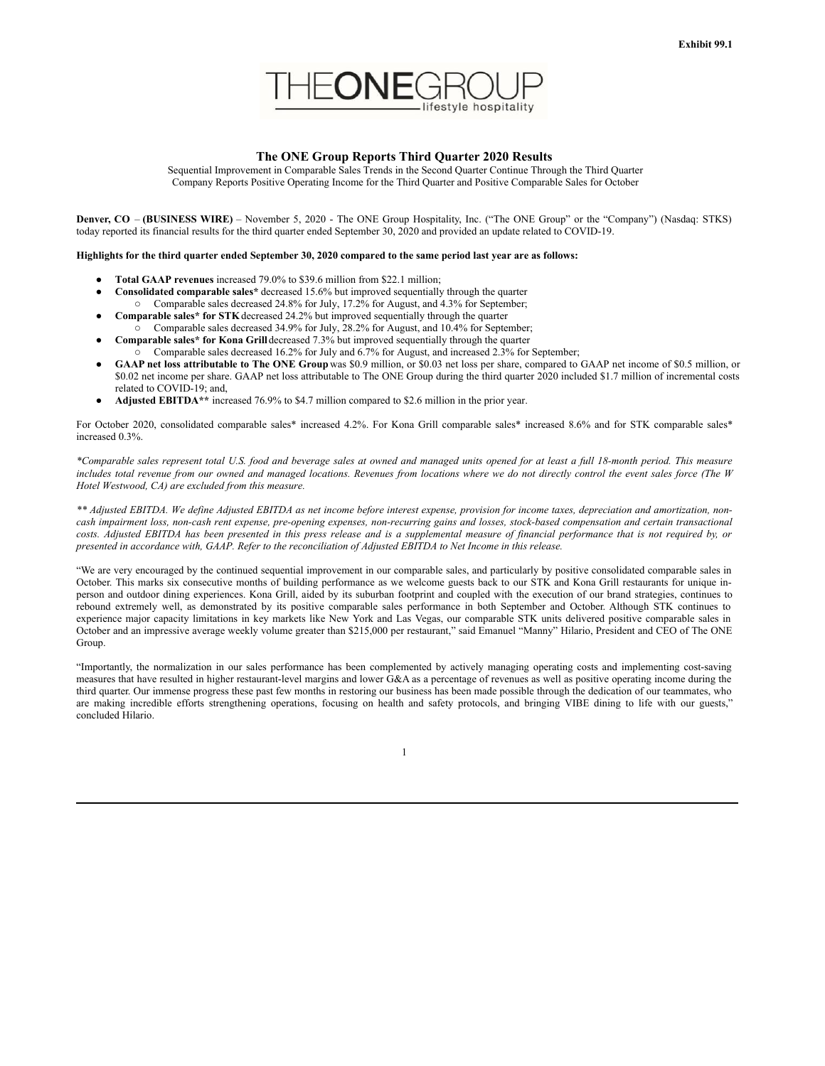

## **The ONE Group Reports Third Quarter 2020 Results**

Sequential Improvement in Comparable Sales Trends in the Second Quarter Continue Through the Third Quarter Company Reports Positive Operating Income for the Third Quarter and Positive Comparable Sales for October

**Denver, CO** – **(BUSINESS WIRE)** – November 5, 2020 - The ONE Group Hospitality, Inc. ("The ONE Group" or the "Company") (Nasdaq: STKS) today reported its financial results for the third quarter ended September 30, 2020 and provided an update related to COVID-19.

#### Highlights for the third quarter ended September 30, 2020 compared to the same period last year are as follows:

- **Total GAAP revenues** increased 79.0% to \$39.6 million from \$22.1 million;
- **Consolidated comparable sales\*** decreased 15.6% but improved sequentially through the quarter o Comparable sales decreased 24.8% for July, 17.2% for August, and 4.3% for September;
- **Comparable sales\* for STK**decreased 24.2% but improved sequentially through the quarter
- $\circ$  Comparable sales decreased 34.9% for July, 28.2% for August, and 10.4% for September;
- **Comparable sales\* for Kona Grill** decreased 7.3% but improved sequentially through the quarter o Comparable sales decreased 16.2% for July and 6.7% for August, and increased 2.3% for September;
- **GAAP net loss attributable to The ONE Group** was \$0.9 million, or \$0.03 net loss per share, compared to GAAP net income of \$0.5 million, or \$0.02 net income per share. GAAP net loss attributable to The ONE Group during the third quarter 2020 included \$1.7 million of incremental costs related to COVID-19; and,
- **Adjusted EBITDA\*\*** increased 76.9% to \$4.7 million compared to \$2.6 million in the prior year.

For October 2020, consolidated comparable sales\* increased 4.2%. For Kona Grill comparable sales\* increased 8.6% and for STK comparable sales\* increased 0.3%.

\*Comparable sales represent total U.S. food and beverage sales at owned and managed units opened for at least a full 18-month period. This measure includes total revenue from our owned and managed locations. Revenues from locations where we do not directly control the event sales force (The W *Hotel Westwood, CA) are excluded from this measure.*

\*\* Adjusted EBITDA. We define Adjusted EBITDA as net income before interest expense, provision for income taxes, depreciation and amortization, noncash impairment loss, non-cash rent expense, pre-opening expenses, non-recurring gains and losses, stock-based compensation and certain transactional costs. Adjusted EBITDA has been presented in this press release and is a supplemental measure of financial performance that is not required by, or presented in accordance with, GAAP. Refer to the reconciliation of Adjusted EBITDA to Net Income in this release.

"We are very encouraged by the continued sequential improvement in our comparable sales, and particularly by positive consolidated comparable sales in October. This marks six consecutive months of building performance as we welcome guests back to our STK and Kona Grill restaurants for unique inperson and outdoor dining experiences. Kona Grill, aided by its suburban footprint and coupled with the execution of our brand strategies, continues to rebound extremely well, as demonstrated by its positive comparable sales performance in both September and October. Although STK continues to experience major capacity limitations in key markets like New York and Las Vegas, our comparable STK units delivered positive comparable sales in October and an impressive average weekly volume greater than \$215,000 per restaurant," said Emanuel "Manny" Hilario, President and CEO of The ONE Group.

"Importantly, the normalization in our sales performance has been complemented by actively managing operating costs and implementing cost-saving measures that have resulted in higher restaurant-level margins and lower G&A as a percentage of revenues as well as positive operating income during the third quarter. Our immense progress these past few months in restoring our business has been made possible through the dedication of our teammates, who are making incredible efforts strengthening operations, focusing on health and safety protocols, and bringing VIBE dining to life with our guests," concluded Hilario.

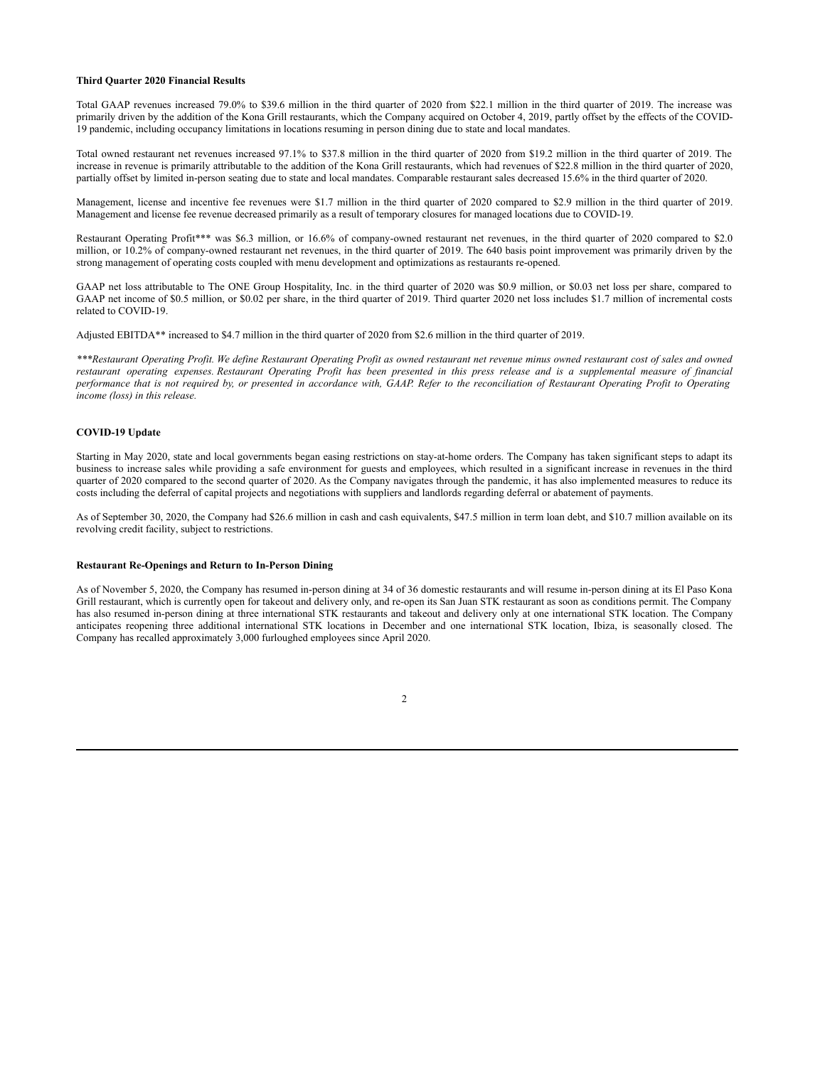## **Third Quarter 2020 Financial Results**

Total GAAP revenues increased 79.0% to \$39.6 million in the third quarter of 2020 from \$22.1 million in the third quarter of 2019. The increase was primarily driven by the addition of the Kona Grill restaurants, which the Company acquired on October 4, 2019, partly offset by the effects of the COVID-19 pandemic, including occupancy limitations in locations resuming in person dining due to state and local mandates.

Total owned restaurant net revenues increased 97.1% to \$37.8 million in the third quarter of 2020 from \$19.2 million in the third quarter of 2019. The increase in revenue is primarily attributable to the addition of the Kona Grill restaurants, which had revenues of \$22.8 million in the third quarter of 2020, partially offset by limited in-person seating due to state and local mandates. Comparable restaurant sales decreased 15.6% in the third quarter of 2020.

Management, license and incentive fee revenues were \$1.7 million in the third quarter of 2020 compared to \$2.9 million in the third quarter of 2019. Management and license fee revenue decreased primarily as a result of temporary closures for managed locations due to COVID-19.

Restaurant Operating Profit\*\*\* was \$6.3 million, or 16.6% of company-owned restaurant net revenues, in the third quarter of 2020 compared to \$2.0 million, or 10.2% of company-owned restaurant net revenues, in the third quarter of 2019. The 640 basis point improvement was primarily driven by the strong management of operating costs coupled with menu development and optimizations as restaurants re-opened.

GAAP net loss attributable to The ONE Group Hospitality, Inc. in the third quarter of 2020 was \$0.9 million, or \$0.03 net loss per share, compared to GAAP net income of \$0.5 million, or \$0.02 per share, in the third quarter of 2019. Third quarter 2020 net loss includes \$1.7 million of incremental costs related to COVID-19.

Adjusted EBITDA\*\* increased to \$4.7 million in the third quarter of 2020 from \$2.6 million in the third quarter of 2019.

\*\*\*Restaurant Operating Profit. We define Restaurant Operating Profit as owned restaurant net revenue minus owned restaurant cost of sales and owned restaurant operating expenses. Restaurant Operating Profit has been presented in this press release and is a supplemental measure of financial performance that is not required by, or presented in accordance with, GAAP. Refer to the reconciliation of Restaurant Operating Profit to Operating *income (loss) in this release.*

### **COVID-19 Update**

Starting in May 2020, state and local governments began easing restrictions on stay-at-home orders. The Company has taken significant steps to adapt its business to increase sales while providing a safe environment for guests and employees, which resulted in a significant increase in revenues in the third quarter of 2020 compared to the second quarter of 2020. As the Company navigates through the pandemic, it has also implemented measures to reduce its costs including the deferral of capital projects and negotiations with suppliers and landlords regarding deferral or abatement of payments.

As of September 30, 2020, the Company had \$26.6 million in cash and cash equivalents, \$47.5 million in term loan debt, and \$10.7 million available on its revolving credit facility, subject to restrictions.

## **Restaurant Re-Openings and Return to In-Person Dining**

As of November 5, 2020, the Company has resumed in-person dining at 34 of 36 domestic restaurants and will resume in-person dining at its El Paso Kona Grill restaurant, which is currently open for takeout and delivery only, and re-open its San Juan STK restaurant as soon as conditions permit. The Company has also resumed in-person dining at three international STK restaurants and takeout and delivery only at one international STK location. The Company anticipates reopening three additional international STK locations in December and one international STK location, Ibiza, is seasonally closed. The Company has recalled approximately 3,000 furloughed employees since April 2020.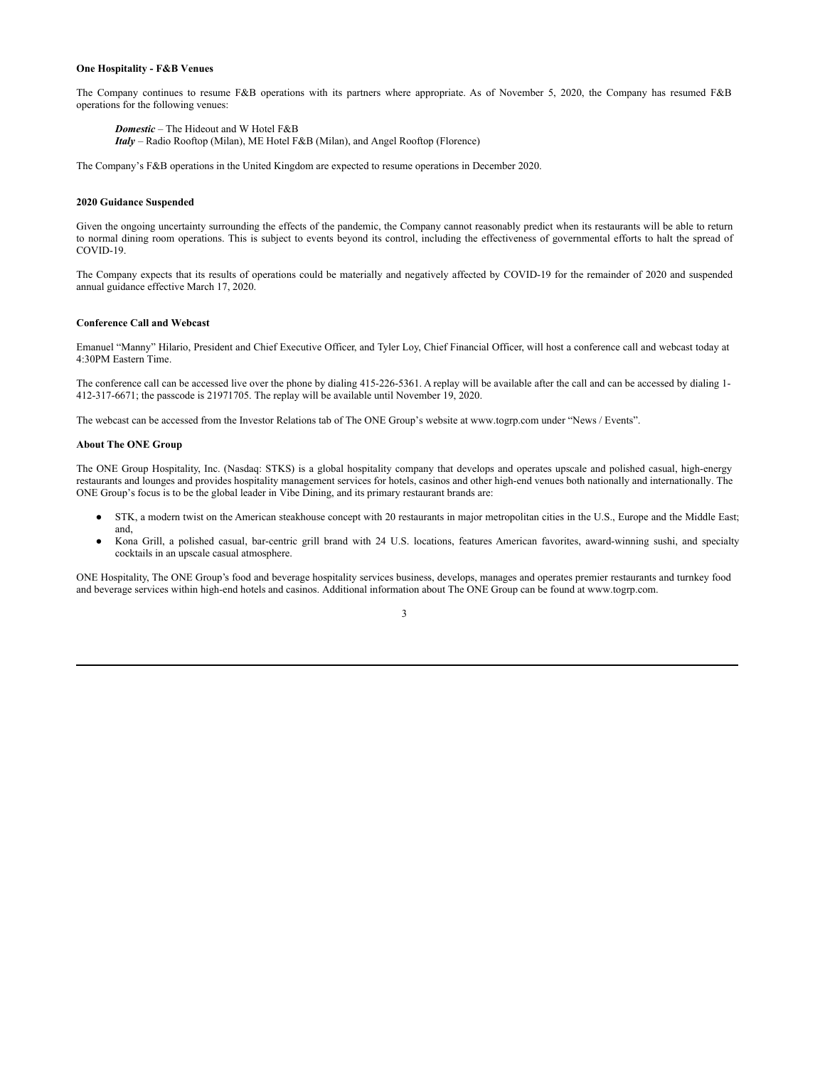#### **One Hospitality - F&B Venues**

The Company continues to resume F&B operations with its partners where appropriate. As of November 5, 2020, the Company has resumed F&B operations for the following venues:

*Domestic* – The Hideout and W Hotel F&B *Italy* – Radio Rooftop (Milan), ME Hotel F&B (Milan), and Angel Rooftop (Florence)

The Company's F&B operations in the United Kingdom are expected to resume operations in December 2020.

## **2020 Guidance Suspended**

Given the ongoing uncertainty surrounding the effects of the pandemic, the Company cannot reasonably predict when its restaurants will be able to return to normal dining room operations. This is subject to events beyond its control, including the effectiveness of governmental efforts to halt the spread of COVID-19.

The Company expects that its results of operations could be materially and negatively affected by COVID-19 for the remainder of 2020 and suspended annual guidance effective March 17, 2020.

## **Conference Call and Webcast**

Emanuel "Manny" Hilario, President and Chief Executive Officer, and Tyler Loy, Chief Financial Officer, will host a conference call and webcast today at 4:30PM Eastern Time.

The conference call can be accessed live over the phone by dialing 415-226-5361. A replay will be available after the call and can be accessed by dialing 1- 412-317-6671; the passcode is 21971705. The replay will be available until November 19, 2020.

The webcast can be accessed from the Investor Relations tab of The ONE Group's website at www.togrp.com under "News / Events".

## **About The ONE Group**

The ONE Group Hospitality, Inc. (Nasdaq: STKS) is a global hospitality company that develops and operates upscale and polished casual, high-energy restaurants and lounges and provides hospitality management services for hotels, casinos and other high-end venues both nationally and internationally. The ONE Group's focus is to be the global leader in Vibe Dining, and its primary restaurant brands are:

- STK, a modern twist on the American steakhouse concept with 20 restaurants in major metropolitan cities in the U.S., Europe and the Middle East; and,
- Kona Grill, a polished casual, bar-centric grill brand with 24 U.S. locations, features American favorites, award-winning sushi, and specialty cocktails in an upscale casual atmosphere.

ONE Hospitality, The ONE Group's food and beverage hospitality services business, develops, manages and operates premier restaurants and turnkey food and beverage services within high-end hotels and casinos. Additional information about The ONE Group can be found at www.togrp.com.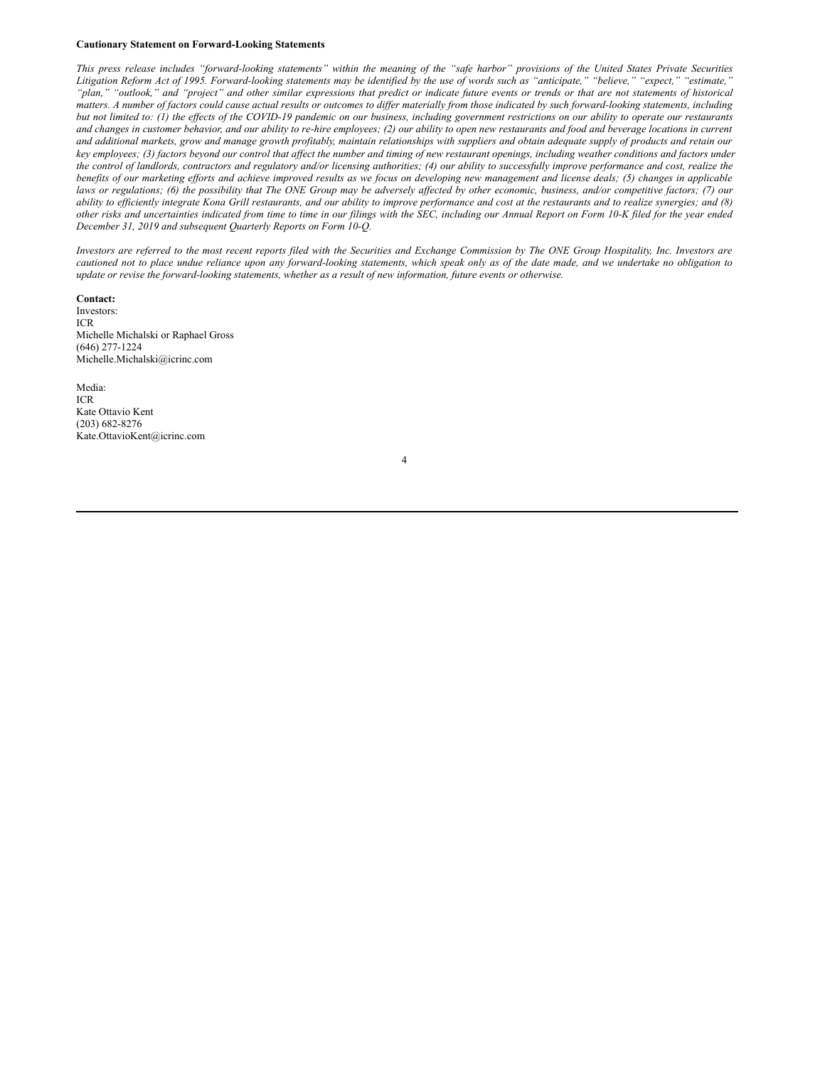#### **Cautionary Statement on Forward-Looking Statements**

This press release includes "forward-looking statements" within the meaning of the "safe harbor" provisions of the United States Private Securities Litigation Reform Act of 1995. Forward-looking statements may be identified by the use of words such as "anticipate," "believe," "expect," "estimate," "plan," "outlook," and "project" and other similar expressions that predict or indicate future events or trends or that are not statements of historical matters. A number of factors could cause actual results or outcomes to differ materially from those indicated by such forward-looking statements, including but not limited to: (1) the effects of the COVID-19 pandemic on our business, including government restrictions on our ability to operate our restaurants and changes in customer behavior, and our ability to re-hire employees; (2) our ability to open new restaurants and food and beverage locations in current and additional markets, grow and manage growth profitably, maintain relationships with suppliers and obtain adequate supply of products and retain our key employees; (3) factors beyond our control that affect the number and timing of new restaurant openings, including weather conditions and factors under the control of landlords, contractors and regulatory and/or licensing authorities; (4) our ability to successfully improve performance and cost, realize the benefits of our marketing efforts and achieve improved results as we focus on developing new management and license deals; (5) changes in applicable laws or regulations; (6) the possibility that The ONE Group may be adversely affected by other economic, business, and/or competitive factors; (7) our ability to efficiently integrate Kona Grill restaurants, and our ability to improve performance and cost at the restaurants and to realize synergies; and (8) other risks and uncertainties indicated from time to time in our filings with the SEC, including our Annual Report on Form 10-K filed for the year ended *December 31, 2019 and subsequent Quarterly Reports on Form 10-Q.*

Investors are referred to the most recent reports filed with the Securities and Exchange Commission by The ONE Group Hospitality, Inc. Investors are cautioned not to place undue reliance upon any forward-looking statements, which speak only as of the date made, and we undertake no obligation to update or revise the forward-looking statements, whether as a result of new information, future events or otherwise.

4

#### **Contact:**

Investors: ICR Michelle Michalski or Raphael Gross (646) 277-1224 Michelle.Michalski@icrinc.com

Media: ICR Kate Ottavio Kent (203) 682-8276 Kate.OttavioKent@icrinc.com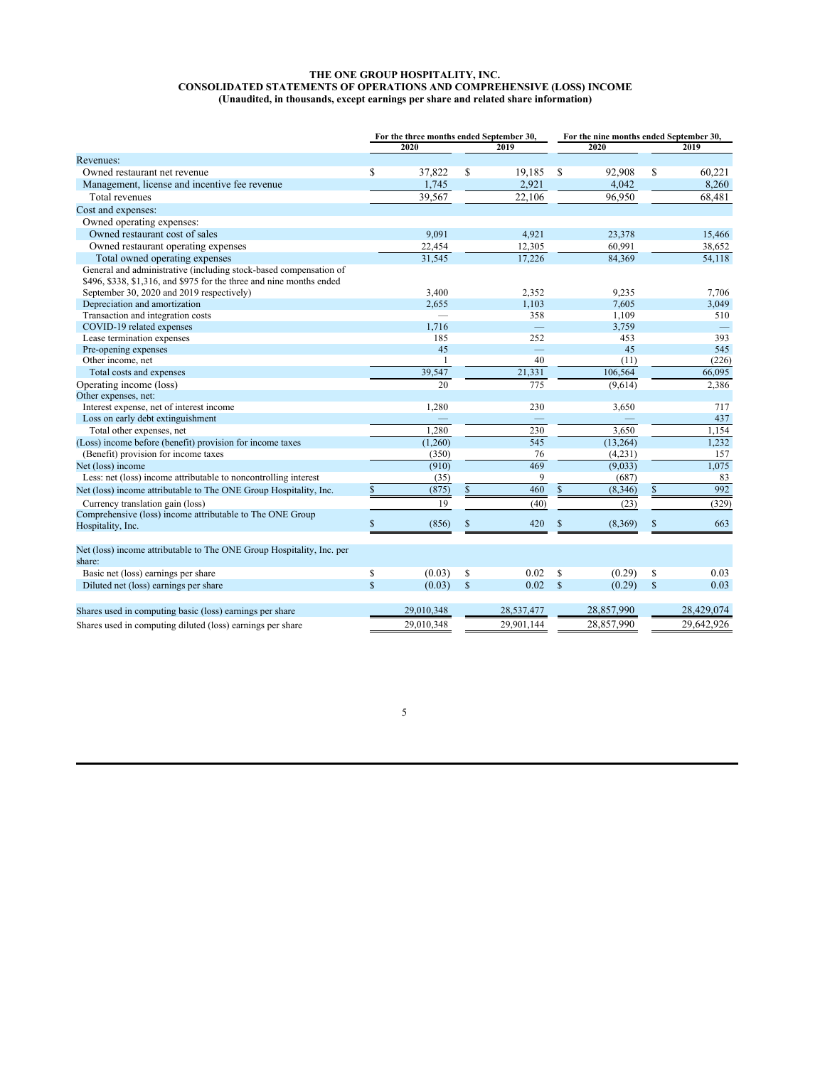### <span id="page-8-0"></span>**THE ONE GROUP HOSPITALITY, INC. CONSOLIDATED STATEMENTS OF OPERATIONS AND COMPREHENSIVE (LOSS) INCOME (Unaudited, in thousands, except earnings per share and related share information)**

|                                                                                                                                           | For the three months ended September 30, |              |              | For the nine months ended September 30, |              |            |               |            |  |
|-------------------------------------------------------------------------------------------------------------------------------------------|------------------------------------------|--------------|--------------|-----------------------------------------|--------------|------------|---------------|------------|--|
|                                                                                                                                           |                                          | 2020         |              | 2019                                    |              | 2020       | 2019          |            |  |
| Revenues:                                                                                                                                 |                                          |              |              |                                         |              |            |               |            |  |
| Owned restaurant net revenue                                                                                                              | S                                        | 37,822       | \$           | 19,185                                  | S            | 92,908     | \$            | 60,221     |  |
| Management, license and incentive fee revenue                                                                                             |                                          | 1,745        |              | 2,921                                   |              | 4,042      |               | 8,260      |  |
| Total revenues                                                                                                                            |                                          | 39,567       |              | 22,106                                  |              | 96,950     |               | 68,481     |  |
| Cost and expenses:                                                                                                                        |                                          |              |              |                                         |              |            |               |            |  |
| Owned operating expenses:                                                                                                                 |                                          |              |              |                                         |              |            |               |            |  |
| Owned restaurant cost of sales                                                                                                            |                                          | 9.091        |              | 4,921                                   |              | 23,378     |               | 15,466     |  |
| Owned restaurant operating expenses                                                                                                       |                                          | 22,454       |              | 12,305                                  |              | 60,991     |               | 38,652     |  |
| Total owned operating expenses                                                                                                            |                                          | 31,545       |              | 17,226                                  |              | 84.369     |               | 54,118     |  |
| General and administrative (including stock-based compensation of<br>\$496, \$338, \$1,316, and \$975 for the three and nine months ended |                                          |              |              |                                         |              |            |               |            |  |
| September 30, 2020 and 2019 respectively)                                                                                                 |                                          | 3,400        |              | 2,352                                   |              | 9,235      |               | 7,706      |  |
| Depreciation and amortization                                                                                                             |                                          | 2,655        |              | 1,103                                   |              | 7,605      |               | 3,049      |  |
| Transaction and integration costs                                                                                                         |                                          |              |              | 358                                     |              | 1,109      |               | 510        |  |
| COVID-19 related expenses                                                                                                                 |                                          | 1,716        |              |                                         |              | 3,759      |               |            |  |
| Lease termination expenses                                                                                                                |                                          | 185          |              | 252                                     |              | 453        |               | 393        |  |
| Pre-opening expenses                                                                                                                      |                                          | 45           |              | ÷,                                      |              | 45         |               | 545        |  |
| Other income, net                                                                                                                         |                                          | $\mathbf{1}$ |              | 40                                      |              | (11)       |               | (226)      |  |
| Total costs and expenses                                                                                                                  |                                          | 39,547       |              | 21,331                                  |              | 106,564    |               | 66,095     |  |
| Operating income (loss)                                                                                                                   |                                          | 20           |              | 775                                     |              | (9,614)    |               | 2,386      |  |
| Other expenses, net:                                                                                                                      |                                          |              |              |                                         |              |            |               |            |  |
| Interest expense, net of interest income                                                                                                  |                                          | 1,280        |              | 230                                     |              | 3,650      |               | 717        |  |
| Loss on early debt extinguishment                                                                                                         |                                          |              |              |                                         |              |            |               | 437        |  |
| Total other expenses, net                                                                                                                 |                                          | 1,280        |              | 230                                     |              | 3,650      |               | 1,154      |  |
| (Loss) income before (benefit) provision for income taxes                                                                                 |                                          | (1,260)      |              | 545                                     |              | (13, 264)  |               | 1,232      |  |
| (Benefit) provision for income taxes                                                                                                      |                                          | (350)        |              | 76                                      |              | (4,231)    |               | 157        |  |
| Net (loss) income                                                                                                                         |                                          | (910)        |              | 469                                     |              | (9,033)    |               | 1,075      |  |
| Less: net (loss) income attributable to noncontrolling interest                                                                           |                                          | (35)         |              | 9                                       |              | (687)      |               | 83         |  |
| Net (loss) income attributable to The ONE Group Hospitality, Inc.                                                                         | $\mathbf S$                              | (875)        | $\mathbb{S}$ | 460                                     | \$           | (8, 346)   | \$            | 992        |  |
| Currency translation gain (loss)                                                                                                          |                                          | 19           |              | (40)                                    |              | (23)       |               | (329)      |  |
| Comprehensive (loss) income attributable to The ONE Group<br>Hospitality, Inc.                                                            | \$                                       | (856)        | \$           | 420                                     | \$           | (8,369)    | \$            | 663        |  |
| Net (loss) income attributable to The ONE Group Hospitality, Inc. per<br>share:                                                           |                                          |              |              |                                         |              |            |               |            |  |
| Basic net (loss) earnings per share                                                                                                       | \$                                       | (0.03)       | \$           | 0.02                                    | \$           | (0.29)     | S             | 0.03       |  |
| Diluted net (loss) earnings per share                                                                                                     | $\mathbf S$                              | (0.03)       | $\mathbb{S}$ | 0.02                                    | $\mathbb{S}$ | (0.29)     | $\mathcal{S}$ | 0.03       |  |
| Shares used in computing basic (loss) earnings per share                                                                                  |                                          | 29,010,348   |              | 28,537,477                              |              | 28,857,990 |               | 28,429,074 |  |
| Shares used in computing diluted (loss) earnings per share                                                                                |                                          | 29,010,348   |              | 29,901,144                              |              | 28,857,990 |               | 29,642,926 |  |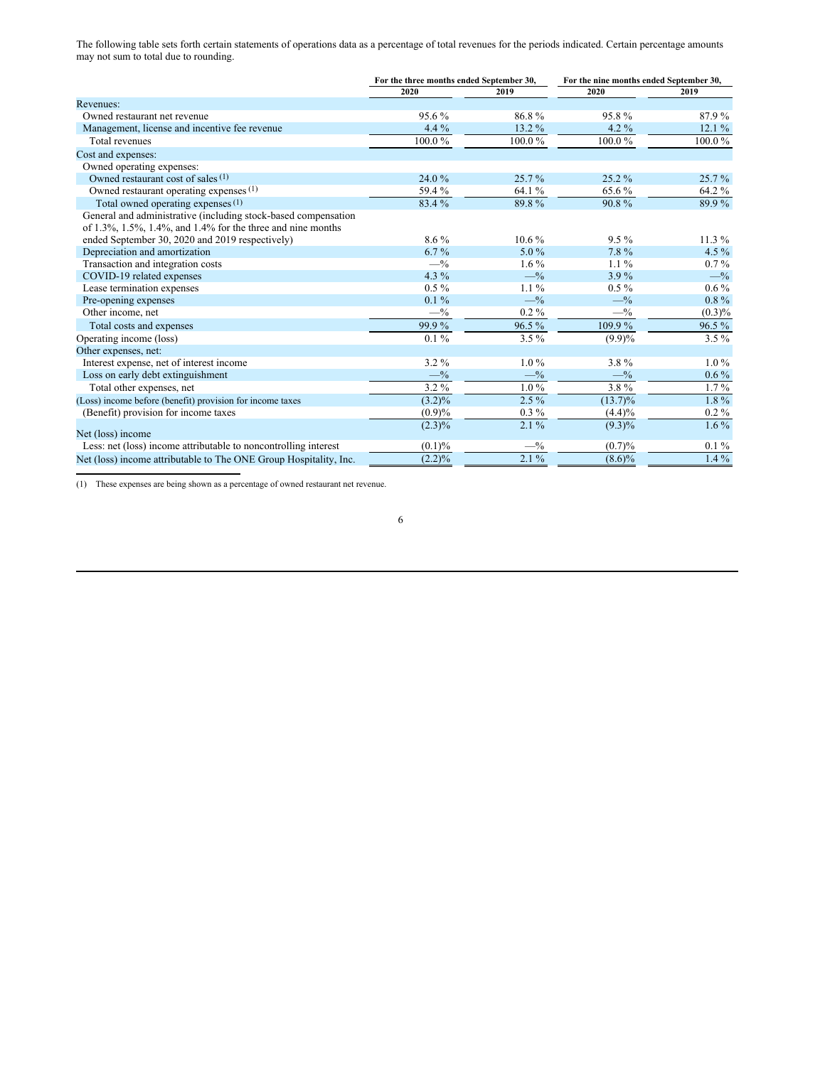The following table sets forth certain statements of operations data as a percentage of total revenues for the periods indicated. Certain percentage amounts may not sum to total due to rounding.

|                                                                   | For the three months ended September 30, |           | For the nine months ended September 30, |           |  |  |
|-------------------------------------------------------------------|------------------------------------------|-----------|-----------------------------------------|-----------|--|--|
|                                                                   | 2020                                     | 2019      | 2020                                    | 2019      |  |  |
| Revenues:                                                         |                                          |           |                                         |           |  |  |
| Owned restaurant net revenue                                      | 95.6%                                    | 86.8%     | 95.8%                                   | 87.9%     |  |  |
| Management, license and incentive fee revenue                     | 4.4 %                                    | 13.2 %    | $4.2\%$                                 | 12.1%     |  |  |
| Total revenues                                                    | 100.0%                                   | 100.0%    | 100.0%                                  | 100.0%    |  |  |
| Cost and expenses:                                                |                                          |           |                                         |           |  |  |
| Owned operating expenses:                                         |                                          |           |                                         |           |  |  |
| Owned restaurant cost of sales (1)                                | 24.0%                                    | 25.7%     | $25.2\%$                                | 25.7%     |  |  |
| Owned restaurant operating expenses (1)                           | 59.4 %                                   | 64.1 %    | 65.6%                                   | 64.2 %    |  |  |
| Total owned operating expenses (1)                                | 83.4 %                                   | 89.8%     | 90.8%                                   | 89.9%     |  |  |
| General and administrative (including stock-based compensation    |                                          |           |                                         |           |  |  |
| of 1.3%, 1.5%, 1.4%, and 1.4% for the three and nine months       |                                          |           |                                         |           |  |  |
| ended September 30, 2020 and 2019 respectively)                   | $8.6\%$                                  | $10.6\%$  | $9.5\%$                                 | $11.3\%$  |  |  |
| Depreciation and amortization                                     | $6.7\%$                                  | $5.0\%$   | 7.8%                                    | 4.5 $%$   |  |  |
| Transaction and integration costs                                 | $-$ %                                    | $1.6\%$   | $1.1\%$                                 | $0.7\%$   |  |  |
| COVID-19 related expenses                                         | 4.3 $%$                                  | $-$ %     | $3.9\%$                                 | $-$ %     |  |  |
| Lease termination expenses                                        | $0.5\%$                                  | $1.1\%$   | $0.5\%$                                 | $0.6\%$   |  |  |
| Pre-opening expenses                                              | $0.1\%$                                  | $-$ %     | $-$ %                                   | $0.8\%$   |  |  |
| Other income, net                                                 | $-$ %                                    | $0.2\%$   | $-$ %                                   | $(0.3)\%$ |  |  |
| Total costs and expenses                                          | 99.9%                                    | 96.5%     | $109.9\,\sqrt{6}$                       | 96.5%     |  |  |
| Operating income (loss)                                           | $0.1\%$                                  | $3.5\%$   | $(9.9)\%$                               | $3.5\%$   |  |  |
| Other expenses, net:                                              |                                          |           |                                         |           |  |  |
| Interest expense, net of interest income                          | $3.2\%$                                  | $1.0\%$   | $3.8\%$                                 | $1.0\%$   |  |  |
| Loss on early debt extinguishment                                 | $-$ %                                    | $-$ %     | $-$ %                                   | $0.6\%$   |  |  |
| Total other expenses, net                                         | 3.2%                                     | $1.0\,\%$ | 3.8%                                    | $1.7\%$   |  |  |
| (Loss) income before (benefit) provision for income taxes         | $(3.2)\%$                                | $2.5\%$   | $(13.7)\%$                              | $1.8\%$   |  |  |
| (Benefit) provision for income taxes                              | (0.9)%                                   | $0.3\%$   | $(4.4)\%$                               | $0.2\%$   |  |  |
| Net (loss) income                                                 | $(2.3)\%$                                | $2.1\%$   | $(9.3)\%$                               | $1.6\%$   |  |  |
| Less: net (loss) income attributable to noncontrolling interest   | $(0.1)\%$                                | $-$ %     | (0.7)%                                  | $0.1\%$   |  |  |
| Net (loss) income attributable to The ONE Group Hospitality, Inc. | (2.2)%                                   | $2.1\%$   | $(8.6)\%$                               | $1.4\%$   |  |  |

(1) These expenses are being shown as a percentage of owned restaurant net revenue.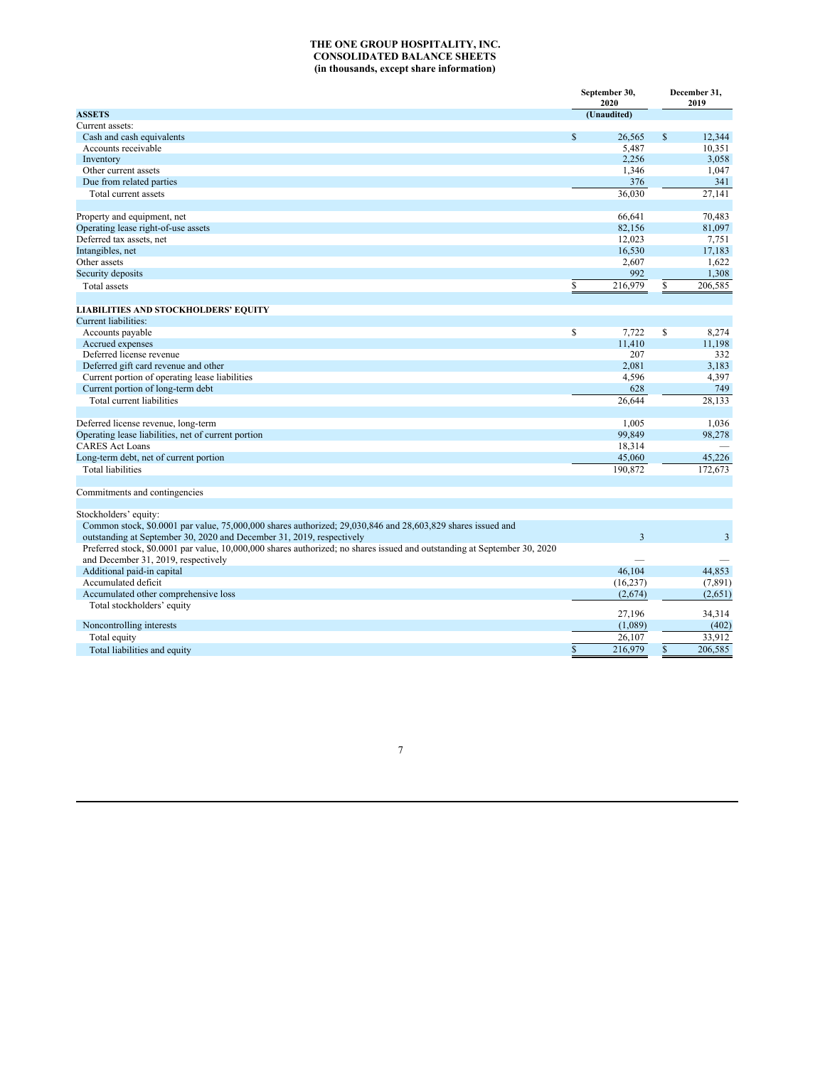### **THE ONE GROUP HOSPITALITY, INC. CONSOLIDATED BALANCE SHEETS (in thousands, except share information)**

|                                                                                                                           |              | September 30,<br>2020 |              | December 31,<br>2019 |  |
|---------------------------------------------------------------------------------------------------------------------------|--------------|-----------------------|--------------|----------------------|--|
| <b>ASSETS</b>                                                                                                             |              | (Unaudited)           |              |                      |  |
| Current assets:                                                                                                           |              |                       |              |                      |  |
| Cash and cash equivalents                                                                                                 | $\mathbb{S}$ | 26,565                | $\mathbb{S}$ | 12,344               |  |
| Accounts receivable                                                                                                       |              | 5,487                 |              | 10,351               |  |
| Inventory                                                                                                                 |              | 2,256                 |              | 3,058                |  |
| Other current assets                                                                                                      |              | 1,346                 |              | 1,047                |  |
| Due from related parties                                                                                                  |              | 376                   |              | 341                  |  |
| Total current assets                                                                                                      |              | 36,030                |              | 27,141               |  |
| Property and equipment, net                                                                                               |              | 66,641                |              | 70,483               |  |
| Operating lease right-of-use assets                                                                                       |              | 82,156                |              | 81,097               |  |
| Deferred tax assets, net                                                                                                  |              | 12,023                |              | 7,751                |  |
| Intangibles, net                                                                                                          |              | 16,530                |              | 17,183               |  |
| Other assets                                                                                                              |              | 2,607                 |              | 1,622                |  |
| Security deposits                                                                                                         |              | 992                   |              | 1,308                |  |
| Total assets                                                                                                              | \$           | 216,979               | \$           | 206,585              |  |
| <b>LIABILITIES AND STOCKHOLDERS' EQUITY</b>                                                                               |              |                       |              |                      |  |
| Current liabilities:                                                                                                      |              |                       |              |                      |  |
| Accounts payable                                                                                                          | \$           | 7,722                 | \$           | 8,274                |  |
| Accrued expenses                                                                                                          |              | 11,410                |              | 11,198               |  |
| Deferred license revenue                                                                                                  |              | 207                   |              | 332                  |  |
| Deferred gift card revenue and other                                                                                      |              | 2,081                 |              | 3,183                |  |
| Current portion of operating lease liabilities                                                                            |              | 4,596                 |              | 4,397                |  |
| Current portion of long-term debt                                                                                         |              | 628                   |              | 749                  |  |
| Total current liabilities                                                                                                 |              | 26,644                |              | 28,133               |  |
|                                                                                                                           |              |                       |              |                      |  |
| Deferred license revenue, long-term                                                                                       |              | 1,005                 |              | 1.036                |  |
| Operating lease liabilities, net of current portion                                                                       |              | 99,849                |              | 98,278               |  |
| <b>CARES Act Loans</b>                                                                                                    |              | 18,314                |              |                      |  |
| Long-term debt, net of current portion                                                                                    |              | 45,060                |              | 45,226               |  |
| Total liabilities                                                                                                         |              | 190,872               |              | 172,673              |  |
| Commitments and contingencies                                                                                             |              |                       |              |                      |  |
|                                                                                                                           |              |                       |              |                      |  |
| Stockholders' equity:                                                                                                     |              |                       |              |                      |  |
| Common stock, \$0.0001 par value, 75,000,000 shares authorized; 29,030,846 and 28,603,829 shares issued and               |              |                       |              |                      |  |
| outstanding at September 30, 2020 and December 31, 2019, respectively                                                     |              | $\overline{3}$        |              | $\overline{3}$       |  |
| Preferred stock, \$0.0001 par value, 10,000,000 shares authorized; no shares issued and outstanding at September 30, 2020 |              |                       |              |                      |  |
| and December 31, 2019, respectively                                                                                       |              |                       |              |                      |  |
| Additional paid-in capital                                                                                                |              | 46,104                |              | 44,853               |  |
| Accumulated deficit                                                                                                       |              | (16, 237)             |              | (7, 891)             |  |
| Accumulated other comprehensive loss                                                                                      |              | (2,674)               |              | (2,651)              |  |
| Total stockholders' equity                                                                                                |              | 27,196                |              | 34,314               |  |
| Noncontrolling interests                                                                                                  |              | (1,089)               |              | (402)                |  |
| Total equity                                                                                                              |              | 26,107                |              | 33,912               |  |
| Total liabilities and equity                                                                                              | \$           | 216,979               | \$           | 206,585              |  |
|                                                                                                                           |              |                       |              |                      |  |

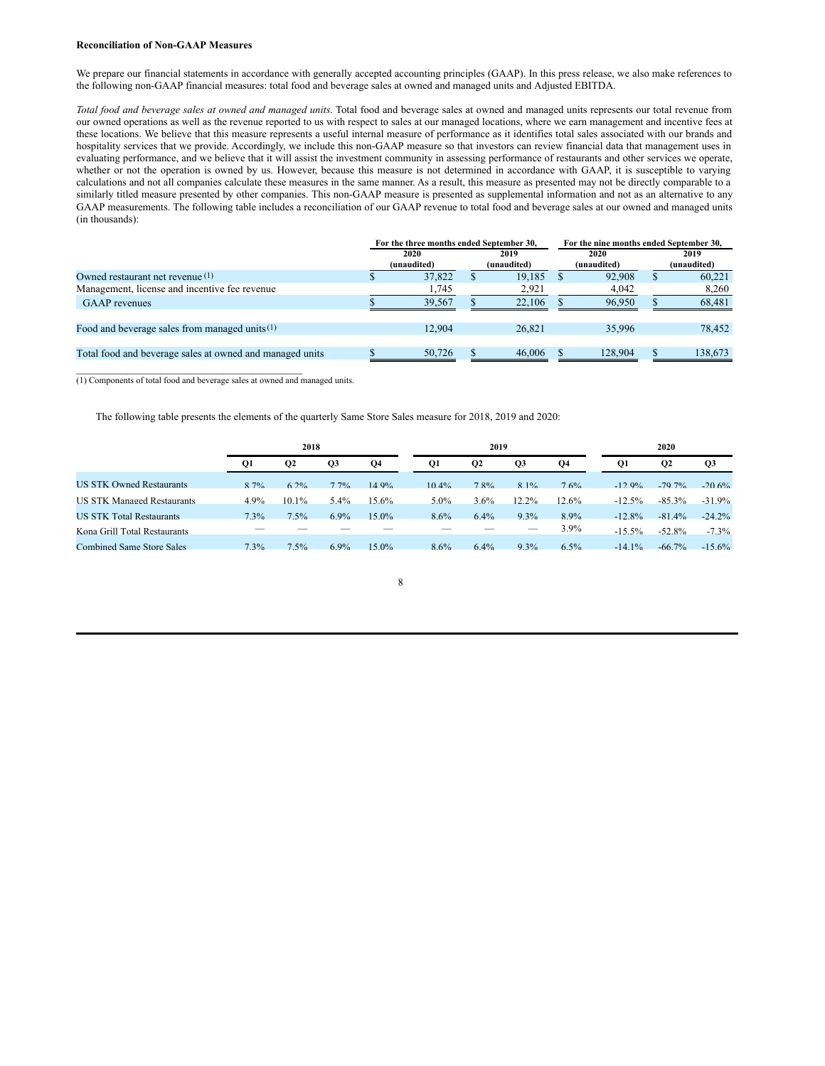### **Reconciliation of Non-GAAP Measures**

We prepare our financial statements in accordance with generally accepted accounting principles (GAAP). In this press release, we also make references to the following non-GAAP financial measures: total food and beverage sales at owned and managed units and Adjusted EBITDA.

*Total food and beverage sales at owned and managed units.* Total food and beverage sales at owned and managed units represents our total revenue from our owned operations as well as the revenue reported to us with respect to sales at our managed locations, where we earn management and incentive fees at these locations. We believe that this measure represents a useful internal measure of performance as it identifies total sales associated with our brands and hospitality services that we provide. Accordingly, we include this non-GAAP measure so that investors can review financial data that management uses in evaluating performance, and we believe that it will assist the investment community in assessing performance of restaurants and other services we operate, whether or not the operation is owned by us. However, because this measure is not determined in accordance with GAAP, it is susceptible to varying calculations and not all companies calculate these measures in the same manner. As a result, this measure as presented may not be directly comparable to a similarly titled measure presented by other companies. This non-GAAP measure is presented as supplemental information and not as an alternative to any GAAP measurements. The following table includes a reconciliation of our GAAP revenue to total food and beverage sales at our owned and managed units (in thousands):

|                                                          | For the three months ended September 30, |                     |  |                     |                     | For the nine months ended September 30, |   |                     |  |  |
|----------------------------------------------------------|------------------------------------------|---------------------|--|---------------------|---------------------|-----------------------------------------|---|---------------------|--|--|
|                                                          |                                          | 2020<br>(unaudited) |  | 2019<br>(unaudited) | 2020<br>(unaudited) |                                         |   | 2019<br>(unaudited) |  |  |
| Owned restaurant net revenue $(1)$                       |                                          | 37.822              |  | 19.185              |                     | 92,908                                  | ъ | 60.221              |  |  |
| Management, license and incentive fee revenue            |                                          | 1.745               |  | 2,921               |                     | 4,042                                   |   | 8,260               |  |  |
| <b>GAAP</b> revenues                                     |                                          | 39,567              |  | 22,106              |                     | 96,950                                  |   | 68,481              |  |  |
| Food and beverage sales from managed units $(1)$         |                                          | 12.904              |  | 26,821              |                     | 35,996                                  |   | 78,452              |  |  |
| Total food and beverage sales at owned and managed units |                                          | 50,726              |  | 46.006              |                     | 128,904                                 |   | 138.673             |  |  |
|                                                          |                                          |                     |  |                     |                     |                                         |   |                     |  |  |

(1) Components of total food and beverage sales at owned and managed units.

The following table presents the elements of the quarterly Same Store Sales measure for 2018, 2019 and 2020:

|                                   |           | 2018             |                |          |          | 2019           |          |          | 2020      |           |           |  |
|-----------------------------------|-----------|------------------|----------------|----------|----------|----------------|----------|----------|-----------|-----------|-----------|--|
|                                   | <b>O1</b> | $_{\mathbf{Q2}}$ | Q <sub>3</sub> | Q4       | Q1       | Q <sub>2</sub> | Q3       | Q4       | Q1        | <b>O2</b> | Q3        |  |
| <b>US STK Owned Restaurants</b>   | 8.7%      | 6.2%             | $7.7\%$        | 14 9%    | $10.4\%$ | 7.8%           | $8.1\%$  | 7.6%     | $-12.9%$  | $-79.7\%$ | $-20.6\%$ |  |
| <b>US STK Managed Restaurants</b> | $4.9\%$   | $10.1\%$         | $5.4\%$        | $15.6\%$ | $5.0\%$  | 3.6%           | $12.2\%$ | $12.6\%$ | $-12.5\%$ | $-85.3\%$ | $-31.9\%$ |  |
| <b>US STK Total Restaurants</b>   | 7.3%      | 7.5%             | $6.9\%$        | $15.0\%$ | 8.6%     | 64%            | $9.3\%$  | 89%      | $-12.8\%$ | $-81.4\%$ | $-24.2\%$ |  |
| Kona Grill Total Restaurants      |           |                  |                |          |          |                | $-$      | 3.9%     | $-15.5\%$ | $-52.8\%$ | $-7.3%$   |  |
| <b>Combined Same Store Sales</b>  | 7.3%      | 7.5%             | $6.9\%$        | $15.0\%$ | 8.6%     | $6.4\%$        | $9.3\%$  | 6.5%     | $-14.1\%$ | $-66.7\%$ | $-15.6\%$ |  |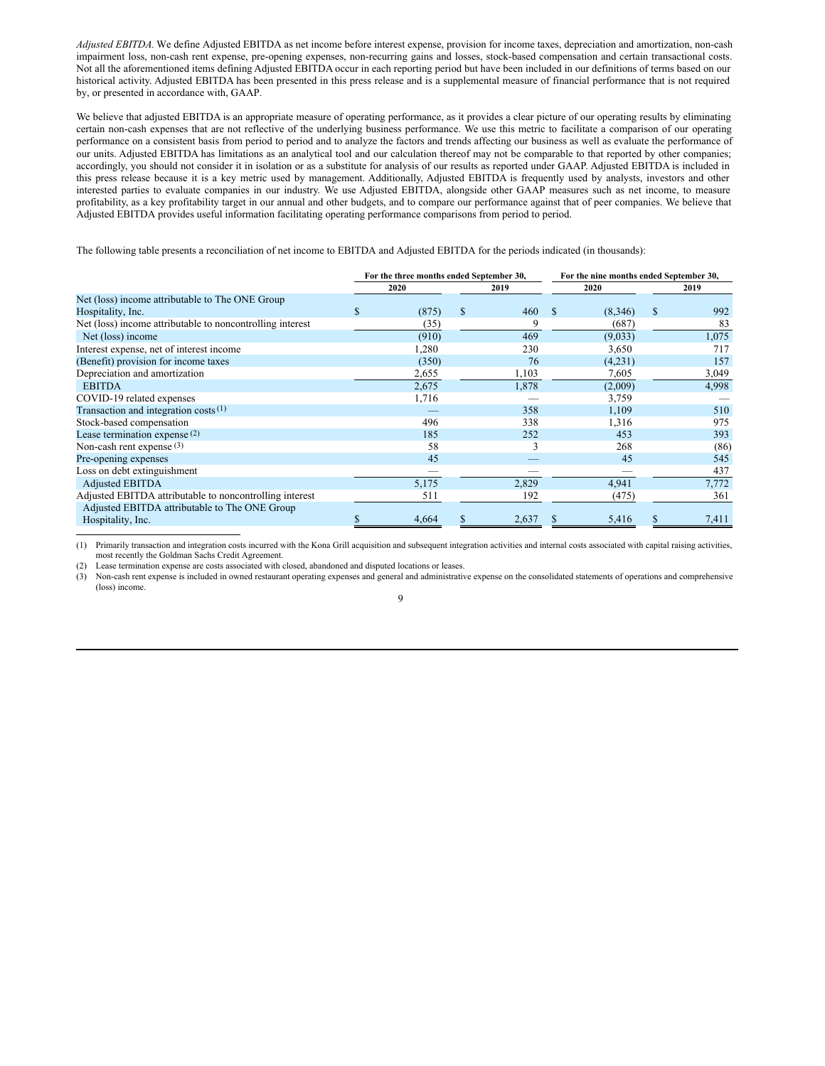*Adjusted EBITDA.* We define Adjusted EBITDA as net income before interest expense, provision for income taxes, depreciation and amortization, non-cash impairment loss, non-cash rent expense, pre-opening expenses, non-recurring gains and losses, stock-based compensation and certain transactional costs. Not all the aforementioned items defining Adjusted EBITDA occur in each reporting period but have been included in our definitions of terms based on our historical activity. Adjusted EBITDA has been presented in this press release and is a supplemental measure of financial performance that is not required by, or presented in accordance with, GAAP.

We believe that adjusted EBITDA is an appropriate measure of operating performance, as it provides a clear picture of our operating results by eliminating certain non-cash expenses that are not reflective of the underlying business performance. We use this metric to facilitate a comparison of our operating performance on a consistent basis from period to period and to analyze the factors and trends affecting our business as well as evaluate the performance of our units. Adjusted EBITDA has limitations as an analytical tool and our calculation thereof may not be comparable to that reported by other companies; accordingly, you should not consider it in isolation or as a substitute for analysis of our results as reported under GAAP. Adjusted EBITDA is included in this press release because it is a key metric used by management. Additionally, Adjusted EBITDA is frequently used by analysts, investors and other interested parties to evaluate companies in our industry. We use Adjusted EBITDA, alongside other GAAP measures such as net income, to measure profitability, as a key profitability target in our annual and other budgets, and to compare our performance against that of peer companies. We believe that Adjusted EBITDA provides useful information facilitating operating performance comparisons from period to period.

The following table presents a reconciliation of net income to EBITDA and Adjusted EBITDA for the periods indicated (in thousands):

|                                                           | For the three months ended September 30, |       |              |       |          | For the nine months ended September 30, |   |       |  |
|-----------------------------------------------------------|------------------------------------------|-------|--------------|-------|----------|-----------------------------------------|---|-------|--|
|                                                           | 2020<br>2019                             |       |              | 2020  |          | 2019                                    |   |       |  |
| Net (loss) income attributable to The ONE Group           |                                          |       |              |       |          |                                         |   |       |  |
| Hospitality, Inc.                                         | S.                                       | (875) | $\mathbb{S}$ | 460   | <b>S</b> | (8,346)                                 | S | 992   |  |
| Net (loss) income attributable to noncontrolling interest |                                          | (35)  |              | 9     |          | (687)                                   |   | 83    |  |
| Net (loss) income                                         |                                          | (910) |              | 469   |          | (9,033)                                 |   | 1,075 |  |
| Interest expense, net of interest income                  |                                          | 1,280 |              | 230   |          | 3,650                                   |   | 717   |  |
| (Benefit) provision for income taxes                      |                                          | (350) |              | 76    |          | (4,231)                                 |   | 157   |  |
| Depreciation and amortization                             |                                          | 2,655 |              | 1,103 |          | 7,605                                   |   | 3,049 |  |
| <b>EBITDA</b>                                             |                                          | 2,675 |              | 1,878 |          | (2,009)                                 |   | 4,998 |  |
| COVID-19 related expenses                                 |                                          | 1,716 |              |       |          | 3,759                                   |   |       |  |
| Transaction and integration costs $(1)$                   |                                          |       |              | 358   |          | 1.109                                   |   | 510   |  |
| Stock-based compensation                                  |                                          | 496   |              | 338   |          | 1,316                                   |   | 975   |  |
| Lease termination expense $(2)$                           |                                          | 185   |              | 252   |          | 453                                     |   | 393   |  |
| Non-cash rent expense $(3)$                               |                                          | 58    |              | 3     |          | 268                                     |   | (86)  |  |
| Pre-opening expenses                                      |                                          | 45    |              |       |          | 45                                      |   | 545   |  |
| Loss on debt extinguishment                               |                                          |       |              |       |          |                                         |   | 437   |  |
| <b>Adjusted EBITDA</b>                                    |                                          | 5,175 |              | 2,829 |          | 4,941                                   |   | 7,772 |  |
| Adjusted EBITDA attributable to noncontrolling interest   |                                          | 511   |              | 192   |          | (475)                                   |   | 361   |  |
| Adjusted EBITDA attributable to The ONE Group             |                                          |       |              |       |          |                                         |   |       |  |
| Hospitality, Inc.                                         |                                          | 4,664 |              | 2,637 |          | 5,416                                   |   | 7,411 |  |

(1) Primarily transaction and integration costs incurred with the Kona Grill acquisition and subsequent integration activities and internal costs associated with capital raising activities, most recently the Goldman Sachs Credit Agreement.

(2) Lease termination expense are costs associated with closed, abandoned and disputed locations or leases.

(3) Non-cash rent expense is included in owned restaurant operating expenses and general and administrative expense on the consolidated statements of operations and comprehensive (loss) income.